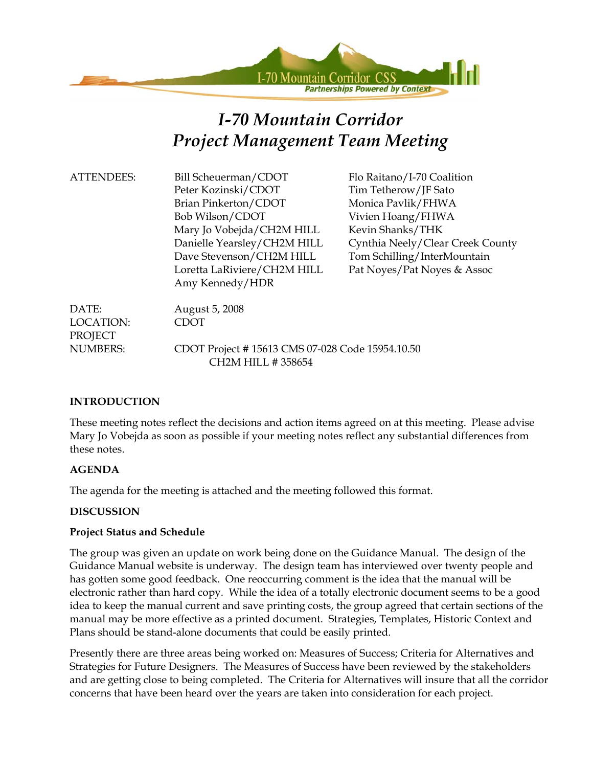

# *I-70 Mountain Corridor Project Management Team Meeting*

| <b>ATTENDEES:</b> | Bill Scheuerman/CDOT        |
|-------------------|-----------------------------|
|                   | Peter Kozinski/CDOT         |
|                   | Brian Pinkerton/CDOT        |
|                   | Bob Wilson/CDOT             |
|                   | Mary Jo Vobejda/CH2M HILL   |
|                   | Danielle Yearsley/CH2M HILL |
|                   | Dave Stevenson/CH2M HILL    |
|                   | Loretta LaRiviere/CH2M HILL |
|                   | Amy Kennedy/HDR             |
|                   |                             |

Flo Raitano/I-70 Coalition Tim Tetherow/JF Sato Monica Pavlik/FHWA Vivien Hoang/FHWA Kevin Shanks/THK Cynthia Neely/Clear Creek County Tom Schilling/InterMountain Pat Noyes/Pat Noyes & Assoc

| DATE:     | August 5, 2008                                  |
|-----------|-------------------------------------------------|
| LOCATION: | <b>CDOT</b>                                     |
| PROJECT   |                                                 |
| NUMBERS:  | CDOT Project #15613 CMS 07-028 Code 15954.10.50 |
|           | CH <sub>2</sub> M HILL # 358654                 |

#### **INTRODUCTION**

These meeting notes reflect the decisions and action items agreed on at this meeting. Please advise Mary Jo Vobejda as soon as possible if your meeting notes reflect any substantial differences from these notes.

#### **AGENDA**

The agenda for the meeting is attached and the meeting followed this format.

#### **DISCUSSION**

#### **Project Status and Schedule**

The group was given an update on work being done on the Guidance Manual. The design of the Guidance Manual website is underway. The design team has interviewed over twenty people and has gotten some good feedback. One reoccurring comment is the idea that the manual will be electronic rather than hard copy. While the idea of a totally electronic document seems to be a good idea to keep the manual current and save printing costs, the group agreed that certain sections of the manual may be more effective as a printed document. Strategies, Templates, Historic Context and Plans should be stand-alone documents that could be easily printed.

Presently there are three areas being worked on: Measures of Success; Criteria for Alternatives and Strategies for Future Designers. The Measures of Success have been reviewed by the stakeholders and are getting close to being completed. The Criteria for Alternatives will insure that all the corridor concerns that have been heard over the years are taken into consideration for each project.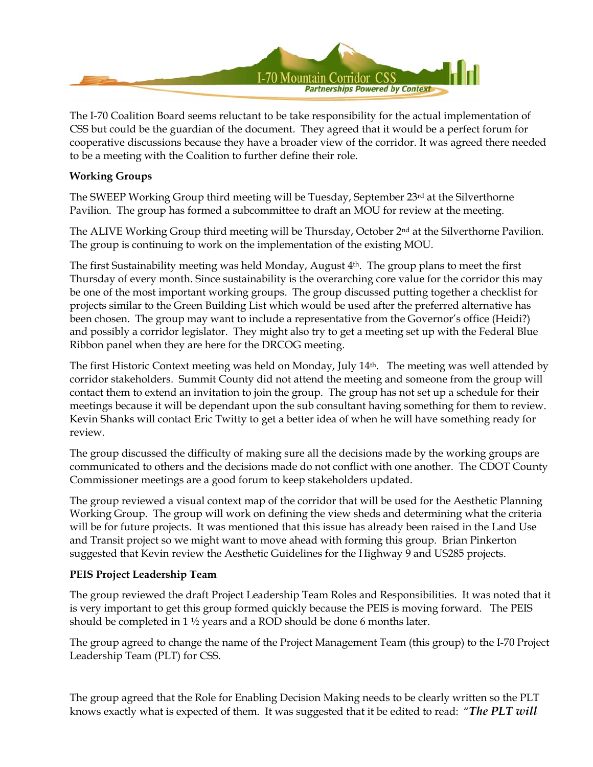

The I-70 Coalition Board seems reluctant to be take responsibility for the actual implementation of CSS but could be the guardian of the document. They agreed that it would be a perfect forum for cooperative discussions because they have a broader view of the corridor. It was agreed there needed to be a meeting with the Coalition to further define their role.

#### **Working Groups**

The SWEEP Working Group third meeting will be Tuesday, September 23rd at the Silverthorne Pavilion. The group has formed a subcommittee to draft an MOU for review at the meeting.

The ALIVE Working Group third meeting will be Thursday, October 2nd at the Silverthorne Pavilion. The group is continuing to work on the implementation of the existing MOU.

The first Sustainability meeting was held Monday, August  $4<sup>th</sup>$ . The group plans to meet the first Thursday of every month. Since sustainability is the overarching core value for the corridor this may be one of the most important working groups. The group discussed putting together a checklist for projects similar to the Green Building List which would be used after the preferred alternative has been chosen. The group may want to include a representative from the Governor's office (Heidi?) and possibly a corridor legislator. They might also try to get a meeting set up with the Federal Blue Ribbon panel when they are here for the DRCOG meeting.

The first Historic Context meeting was held on Monday, July 14th. The meeting was well attended by corridor stakeholders. Summit County did not attend the meeting and someone from the group will contact them to extend an invitation to join the group. The group has not set up a schedule for their meetings because it will be dependant upon the sub consultant having something for them to review. Kevin Shanks will contact Eric Twitty to get a better idea of when he will have something ready for review.

The group discussed the difficulty of making sure all the decisions made by the working groups are communicated to others and the decisions made do not conflict with one another. The CDOT County Commissioner meetings are a good forum to keep stakeholders updated.

The group reviewed a visual context map of the corridor that will be used for the Aesthetic Planning Working Group. The group will work on defining the view sheds and determining what the criteria will be for future projects. It was mentioned that this issue has already been raised in the Land Use and Transit project so we might want to move ahead with forming this group. Brian Pinkerton suggested that Kevin review the Aesthetic Guidelines for the Highway 9 and US285 projects.

#### **PEIS Project Leadership Team**

The group reviewed the draft Project Leadership Team Roles and Responsibilities. It was noted that it is very important to get this group formed quickly because the PEIS is moving forward. The PEIS should be completed in 1 ½ years and a ROD should be done 6 months later.

The group agreed to change the name of the Project Management Team (this group) to the I-70 Project Leadership Team (PLT) for CSS.

The group agreed that the Role for Enabling Decision Making needs to be clearly written so the PLT knows exactly what is expected of them. It was suggested that it be edited to read: "*The PLT will*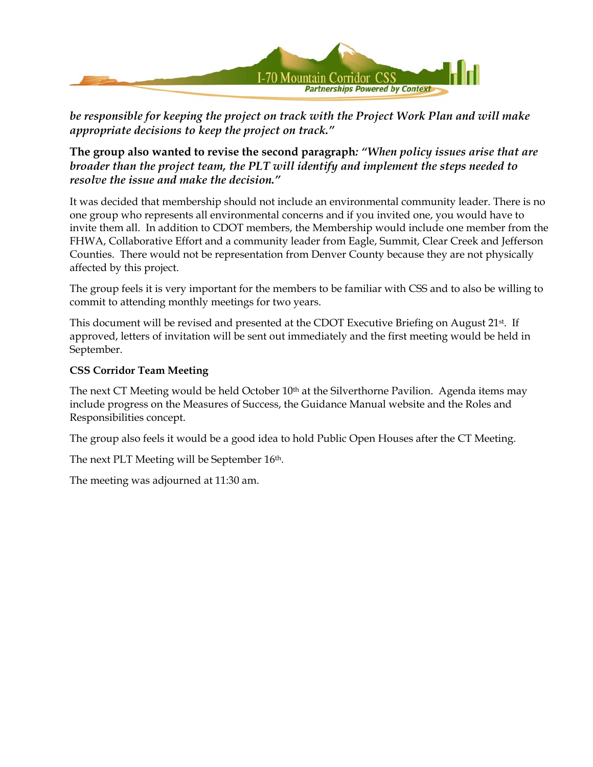

*be responsible for keeping the project on track with the Project Work Plan and will make appropriate decisions to keep the project on track."* 

**The group also wanted to revise the second paragraph***: "When policy issues arise that are broader than the project team, the PLT will identify and implement the steps needed to resolve the issue and make the decision."*

It was decided that membership should not include an environmental community leader. There is no one group who represents all environmental concerns and if you invited one, you would have to invite them all. In addition to CDOT members, the Membership would include one member from the FHWA, Collaborative Effort and a community leader from Eagle, Summit, Clear Creek and Jefferson Counties. There would not be representation from Denver County because they are not physically affected by this project.

The group feels it is very important for the members to be familiar with CSS and to also be willing to commit to attending monthly meetings for two years.

This document will be revised and presented at the CDOT Executive Briefing on August 21<sup>st</sup>. If approved, letters of invitation will be sent out immediately and the first meeting would be held in September.

#### **CSS Corridor Team Meeting**

The next CT Meeting would be held October  $10<sup>th</sup>$  at the Silverthorne Pavilion. Agenda items may include progress on the Measures of Success, the Guidance Manual website and the Roles and Responsibilities concept.

The group also feels it would be a good idea to hold Public Open Houses after the CT Meeting.

The next PLT Meeting will be September 16<sup>th</sup>.

The meeting was adjourned at 11:30 am.